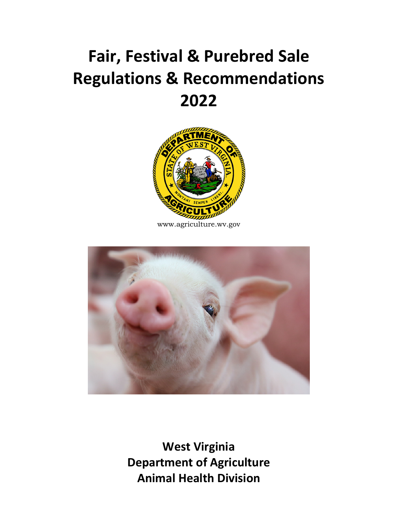# **Fair, Festival & Purebred Sale Regulations & Recommendations 2022**



www.agriculture.wv.gov



**West Virginia Department of Agriculture Animal Health Division**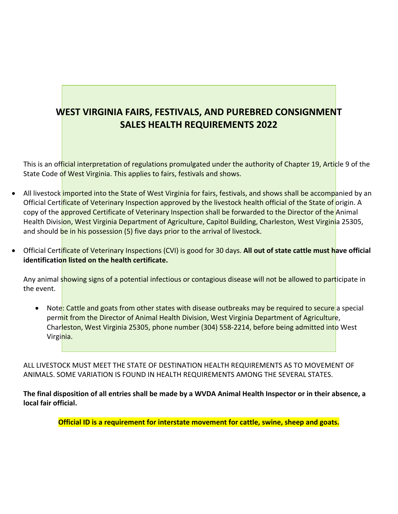## **WEST VIRGINIA FAIRS, FESTIVALS, AND PUREBRED CONSIGNMENT SALES HEALTH REQUIREMENTS 2022**

This is an official interpretation of regulations promulgated under the authority of Chapter 19, Article 9 of the State Code of West Virginia. This applies to fairs, festivals and shows.

- All livestock imported into the State of West Virginia for fairs, festivals, and shows shall be accompanied by an Official Certificate of Veterinary Inspection approved by the livestock health official of the State of origin. A copy of the approved Certificate of Veterinary Inspection shall be forwarded to the Director of the Animal Health Division, West Virginia Department of Agriculture, Capitol Building, Charleston, West Virginia 25305, and should be in his possession (5) five days prior to the arrival of livestock.
- Official Certificate of Veterinary Inspections (CVI) is good for 30 days. **All out of state cattle must have official identification listed on the health certificate.**

Any animal showing signs of a potential infectious or contagious disease will not be allowed to participate in the event.

Note: Cattle and goats from other states with disease outbreaks may be required to secure a special permit from the Director of Animal Health Division, West Virginia Department of Agriculture, Charleston, West Virginia 25305, phone number (304) 558-2214, before being admitted into West Virginia.

ALL LIVESTOCK MUST MEET THE STATE OF DESTINATION HEALTH REQUIREMENTS AS TO MOVEMENT OF ANIMALS. SOME VARIATION IS FOUND IN HEALTH REQUIREMENTS AMONG THE SEVERAL STATES.

**The final disposition of all entries shall be made by a WVDA Animal Health Inspector or in their absence, a local fair official.** 

**Official ID is a requirement for interstate movement for cattle, swine, sheep and goats.**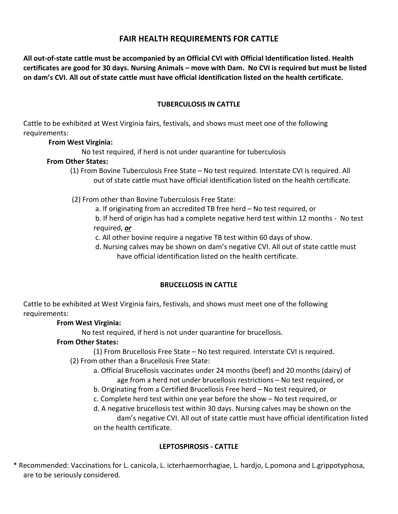## **FAIR HEALTH REQUIREMENTS FOR CATTLE**

**All out-of-state cattle must be accompanied by an Official CVI with Official Identification listed. Health certificates are good for 30 days. Nursing Animals – move with Dam. No CVI is required but must be listed on dam's CVI. All out of state cattle must have official identification listed on the health certificate.**

## **TUBERCULOSIS IN CATTLE**

Cattle to be exhibited at West Virginia fairs, festivals, and shows must meet one of the following requirements:

## **From West Virginia:**

No test required, if herd is not under quarantine for tuberculosis

#### **From Other States:**

(1) From Bovine Tuberculosis Free State – No test required. Interstate CVI is required. All out of state cattle must have official identification listed on the health certificate.

(2) From other than Bovine Tuberculosis Free State:

 a. If originating from an accredited TB free herd – No test required, or b. If herd of origin has had a complete negative herd test within 12 months - No test required, *or*

c. All other bovine require a negative TB test within 60 days of show.

 d. Nursing calves may be shown on dam's negative CVI. All out of state cattle must have official identification listed on the health certificate.

## **BRUCELLOSIS IN CATTLE**

Cattle to be exhibited at West Virginia fairs, festivals, and shows must meet one of the following requirements:

## **From West Virginia:**

No test required, if herd is not under quarantine for brucellosis.

## **From Other States:**

(1) From Brucellosis Free State – No test required. Interstate CVI is required.

- (2) From other than a Brucellosis Free State:
	- a. Official Brucellosis vaccinates under 24 months (beef) and 20 months (dairy) of age from a herd not under brucellosis restrictions – No test required, or
	- b. Originating from a Certified Brucellosis Free herd No test required, or
	- c. Complete herd test within one year before the show No test required, or

d. A negative brucellosis test within 30 days. Nursing calves may be shown on the dam's negative CVI. All out of state cattle must have official identification listed on the health certificate.

## **LEPTOSPIROSIS - CATTLE**

 \* Recommended: Vaccinations for L. canicola, L. icterhaemorrhagiae, L. hardjo, L.pomona and L.grippotyphosa, are to be seriously considered.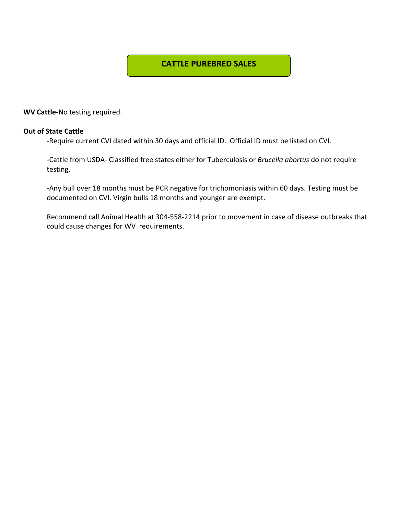## **CATTLE PUREBRED SALES**

**WV Cattle**-No testing required.

#### **Out of State Cattle**

-Require current CVI dated within 30 days and official ID. Official ID must be listed on CVI.

-Cattle from USDA- Classified free states either for Tuberculosis or *Brucella abortus* do not require testing.

-Any bull over 18 months must be PCR negative for trichomoniasis within 60 days. Testing must be documented on CVI. Virgin bulls 18 months and younger are exempt.

Recommend call Animal Health at 304-558-2214 prior to movement in case of disease outbreaks that could cause changes for WV requirements.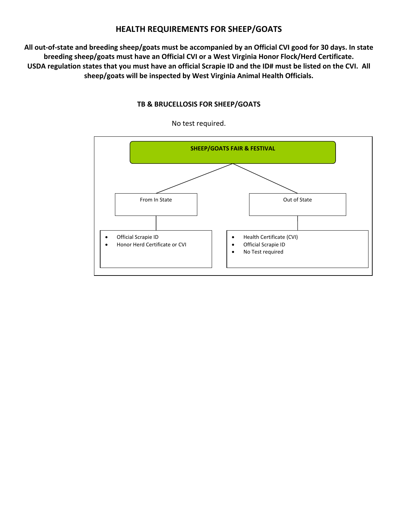## **HEALTH REQUIREMENTS FOR SHEEP/GOATS**

**All out-of-state and breeding sheep/goats must be accompanied by an Official CVI good for 30 days. In state breeding sheep/goats must have an Official CVI or a West Virginia Honor Flock/Herd Certificate. USDA regulation states that you must have an official Scrapie ID and the ID# must be listed on the CVI. All sheep/goats will be inspected by West Virginia Animal Health Officials.**



**TB & BRUCELLOSIS FOR SHEEP/GOATS**

No test required.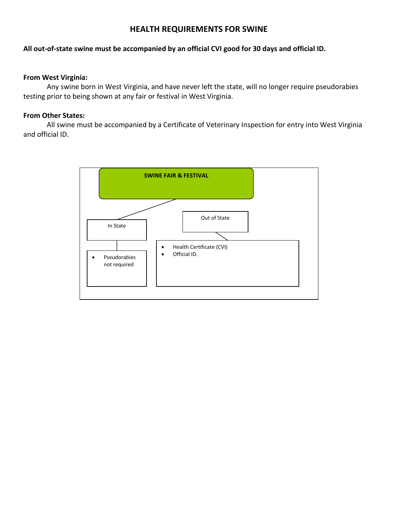## **HEALTH REQUIREMENTS FOR SWINE**

#### **All out-of-state swine must be accompanied by an official CVI good for 30 days and official ID.**

#### **From West Virginia:**

Any swine born in West Virginia, and have never left the state, will no longer require pseudorabies testing prior to being shown at any fair or festival in West Virginia.

#### **From Other States:**

All swine must be accompanied by a Certificate of Veterinary Inspection for entry into West Virginia and official ID.

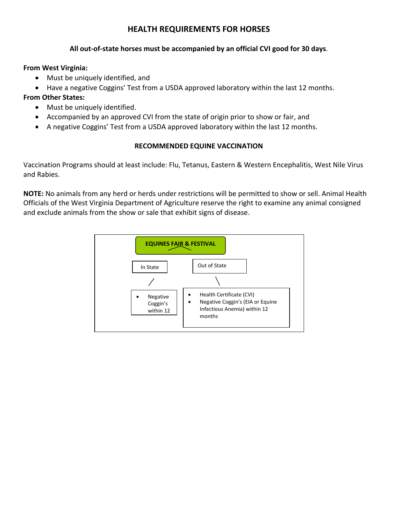## **HEALTH REQUIREMENTS FOR HORSES**

#### **All out-of-state horses must be accompanied by an official CVI good for 30 days**.

#### **From West Virginia:**

- Must be uniquely identified, and
- Have a negative Coggins' Test from a USDA approved laboratory within the last 12 months.

## **From Other States:**

- Must be uniquely identified.
- Accompanied by an approved CVI from the state of origin prior to show or fair, and
- A negative Coggins' Test from a USDA approved laboratory within the last 12 months.

## **RECOMMENDED EQUINE VACCINATION**

Vaccination Programs should at least include: Flu, Tetanus, Eastern & Western Encephalitis, West Nile Virus and Rabies.

**NOTE:** No animals from any herd or herds under restrictions will be permitted to show or sell. Animal Health Officials of the West Virginia Department of Agriculture reserve the right to examine any animal consigned and exclude animals from the show or sale that exhibit signs of disease.